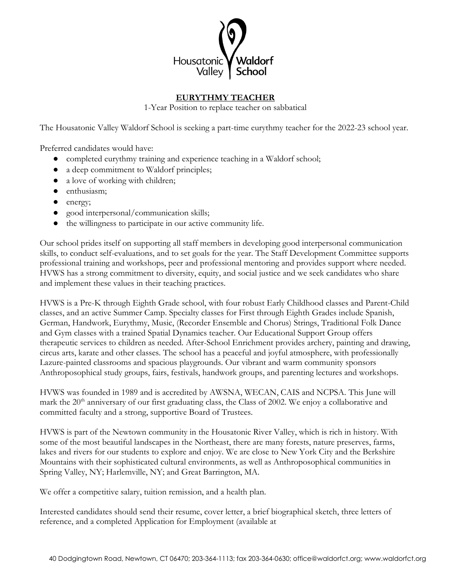

## **EURYTHMY TEACHER**

1-Year Position to replace teacher on sabbatical

The Housatonic Valley Waldorf School is seeking a part-time eurythmy teacher for the 2022-23 school year.

Preferred candidates would have:

- completed eurythmy training and experience teaching in a Waldorf school;
- a deep commitment to Waldorf principles;
- a love of working with children;
- enthusiasm;
- energy;
- good interpersonal/communication skills;
- the willingness to participate in our active community life.

Our school prides itself on supporting all staff members in developing good interpersonal communication skills, to conduct self-evaluations, and to set goals for the year. The Staff Development Committee supports professional training and workshops, peer and professional mentoring and provides support where needed. HVWS has a strong commitment to diversity, equity, and social justice and we seek candidates who share and implement these values in their teaching practices.

HVWS is a Pre-K through Eighth Grade school, with four robust Early Childhood classes and Parent-Child classes, and an active Summer Camp. Specialty classes for First through Eighth Grades include Spanish, German, Handwork, Eurythmy, Music, (Recorder Ensemble and Chorus) Strings, Traditional Folk Dance and Gym classes with a trained Spatial Dynamics teacher. Our Educational Support Group offers therapeutic services to children as needed. After-School Enrichment provides archery, painting and drawing, circus arts, karate and other classes. The school has a peaceful and joyful atmosphere, with professionally Lazure-painted classrooms and spacious playgrounds. Our vibrant and warm community sponsors Anthroposophical study groups, fairs, festivals, handwork groups, and parenting lectures and workshops.

HVWS was founded in 1989 and is accredited by AWSNA, WECAN, CAIS and NCPSA. This June will mark the 20<sup>th</sup> anniversary of our first graduating class, the Class of 2002. We enjoy a collaborative and committed faculty and a strong, supportive Board of Trustees.

HVWS is part of the Newtown community in the Housatonic River Valley, which is rich in history. With some of the most beautiful landscapes in the Northeast, there are many forests, nature preserves, farms, lakes and rivers for our students to explore and enjoy. We are close to New York City and the Berkshire Mountains with their sophisticated cultural environments, as well as Anthroposophical communities in Spring Valley, NY; Harlemville, NY; and Great Barrington, MA.

We offer a competitive salary, tuition remission, and a health plan.

Interested candidates should send their resume, cover letter, a brief biographical sketch, three letters of reference, and a completed Application for Employment (available at